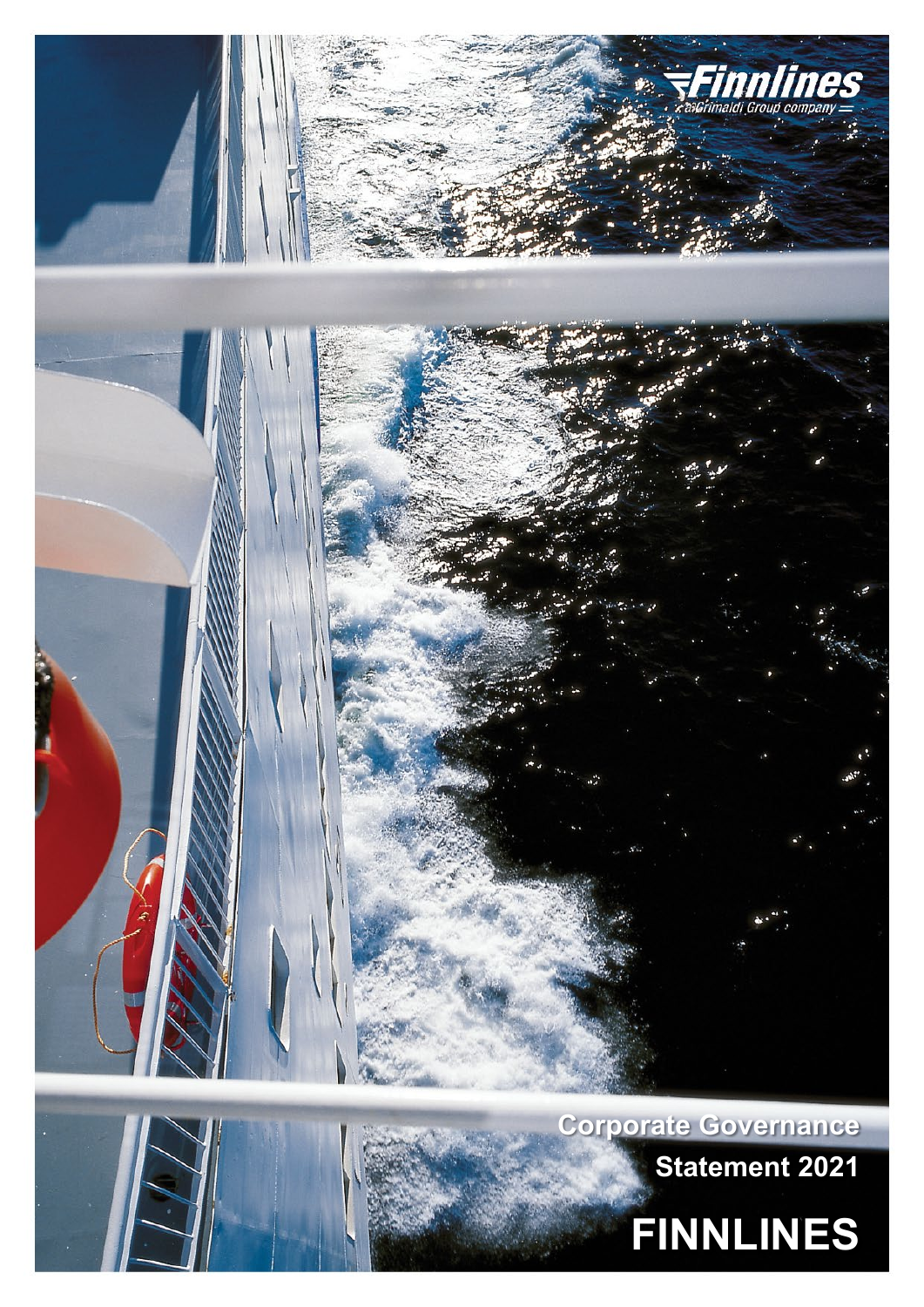



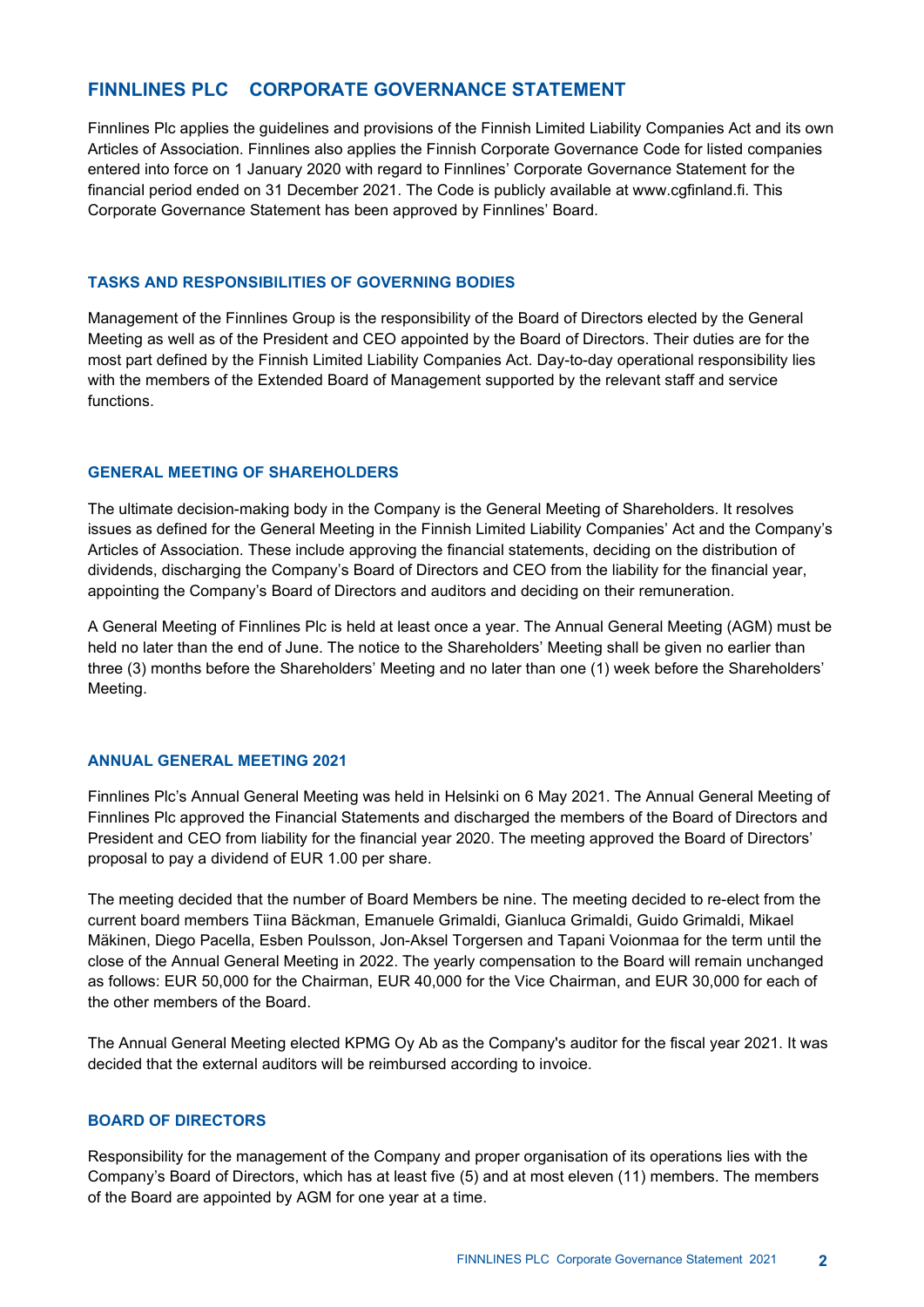# **FINNLINES PLC CORPORATE GOVERNANCE STATEMENT**

Finnlines Plc applies the guidelines and provisions of the Finnish Limited Liability Companies Act and its own Articles of Association. Finnlines also applies the Finnish Corporate Governance Code for listed companies entered into force on 1 January 2020 with regard to Finnlines' Corporate Governance Statement for the financial period ended on 31 December 2021. The Code is publicly available at www.cgfinland.fi. This Corporate Governance Statement has been approved by Finnlines' Board.

## **TASKS AND RESPONSIBILITIES OF GOVERNING BODIES**

Management of the Finnlines Group is the responsibility of the Board of Directors elected by the General Meeting as well as of the President and CEO appointed by the Board of Directors. Their duties are for the most part defined by the Finnish Limited Liability Companies Act. Day-to-day operational responsibility lies with the members of the Extended Board of Management supported by the relevant staff and service functions.

## **GENERAL MEETING OF SHAREHOLDERS**

The ultimate decision-making body in the Company is the General Meeting of Shareholders. It resolves issues as defined for the General Meeting in the Finnish Limited Liability Companies' Act and the Company's Articles of Association. These include approving the financial statements, deciding on the distribution of dividends, discharging the Company's Board of Directors and CEO from the liability for the financial year, appointing the Company's Board of Directors and auditors and deciding on their remuneration.

A General Meeting of Finnlines Plc is held at least once a year. The Annual General Meeting (AGM) must be held no later than the end of June. The notice to the Shareholders' Meeting shall be given no earlier than three (3) months before the Shareholders' Meeting and no later than one (1) week before the Shareholders' Meeting.

## **ANNUAL GENERAL MEETING 2021**

Finnlines Plc's Annual General Meeting was held in Helsinki on 6 May 2021. The Annual General Meeting of Finnlines Plc approved the Financial Statements and discharged the members of the Board of Directors and President and CEO from liability for the financial year 2020. The meeting approved the Board of Directors' proposal to pay a dividend of EUR 1.00 per share.

The meeting decided that the number of Board Members be nine. The meeting decided to re-elect from the current board members Tiina Bäckman, Emanuele Grimaldi, Gianluca Grimaldi, Guido Grimaldi, Mikael Mäkinen, Diego Pacella, Esben Poulsson, Jon-Aksel Torgersen and Tapani Voionmaa for the term until the close of the Annual General Meeting in 2022. The yearly compensation to the Board will remain unchanged as follows: EUR 50,000 for the Chairman, EUR 40,000 for the Vice Chairman, and EUR 30,000 for each of the other members of the Board.

The Annual General Meeting elected KPMG Oy Ab as the Company's auditor for the fiscal year 2021. It was decided that the external auditors will be reimbursed according to invoice.

## **BOARD OF DIRECTORS**

Responsibility for the management of the Company and proper organisation of its operations lies with the Company's Board of Directors, which has at least five (5) and at most eleven (11) members. The members of the Board are appointed by AGM for one year at a time.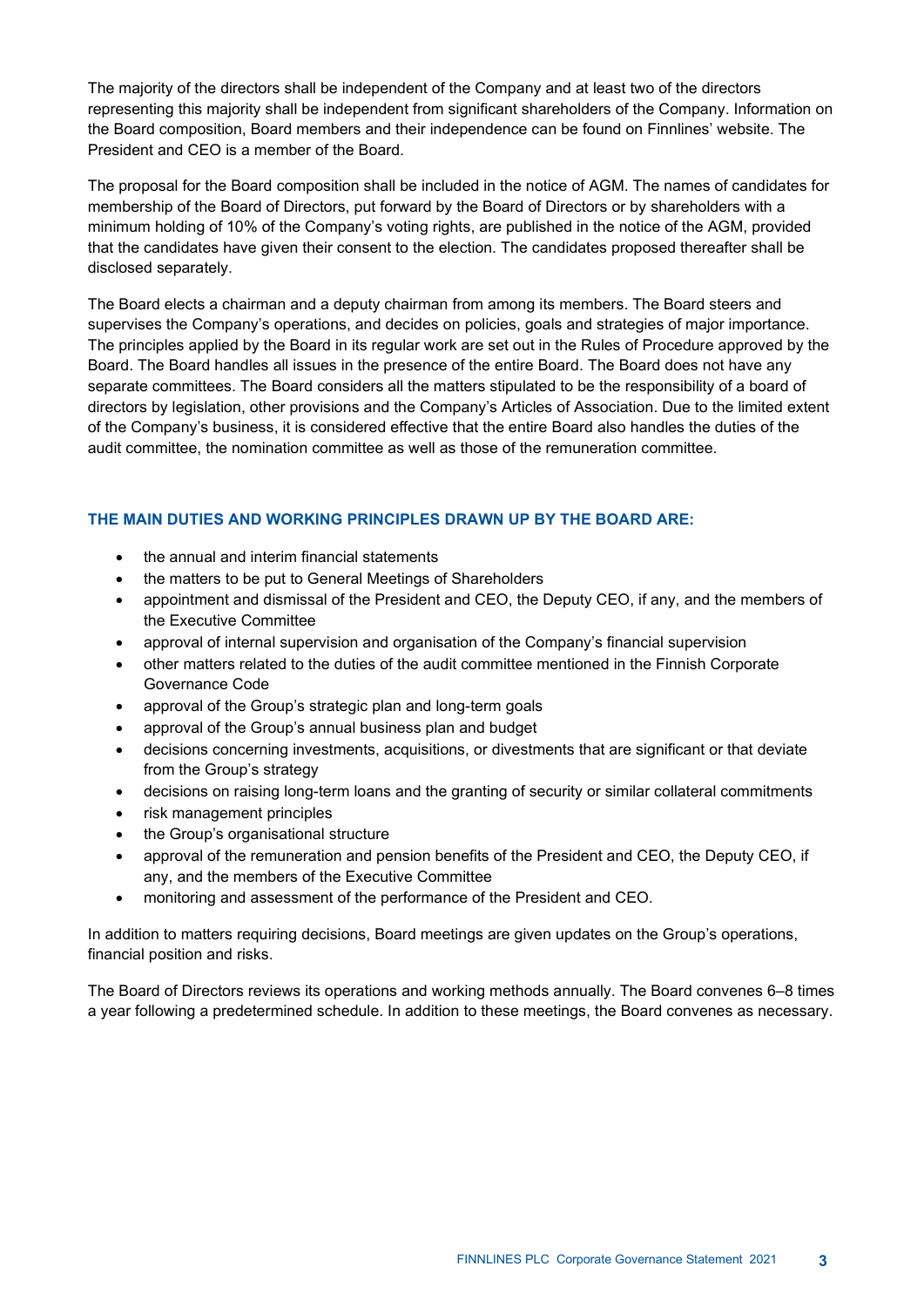The majority of the directors shall be independent of the Company and at least two of the directors representing this majority shall be independent from significant shareholders of the Company. Information on the Board composition, Board members and their independence can be found on Finnlines' website. The President and CEO is a member of the Board.

The proposal for the Board composition shall be included in the notice of AGM. The names of candidates for membership of the Board of Directors, put forward by the Board of Directors or by shareholders with a minimum holding of 10% of the Company's voting rights, are published in the notice of the AGM, provided that the candidates have given their consent to the election. The candidates proposed thereafter shall be disclosed separately.

The Board elects a chairman and a deputy chairman from among its members. The Board steers and supervises the Company's operations, and decides on policies, goals and strategies of major importance. The principles applied by the Board in its regular work are set out in the Rules of Procedure approved by the Board. The Board handles all issues in the presence of the entire Board. The Board does not have any separate committees. The Board considers all the matters stipulated to be the responsibility of a board of directors by legislation, other provisions and the Company's Articles of Association. Due to the limited extent of the Company's business, it is considered effective that the entire Board also handles the duties of the audit committee, the nomination committee as well as those of the remuneration committee.

# **THE MAIN DUTIES AND WORKING PRINCIPLES DRAWN UP BY THE BOARD ARE:**

- the annual and interim financial statements
- the matters to be put to General Meetings of Shareholders
- appointment and dismissal of the President and CEO, the Deputy CEO, if any, and the members of the Executive Committee
- approval of internal supervision and organisation of the Company's financial supervision
- other matters related to the duties of the audit committee mentioned in the Finnish Corporate Governance Code
- approval of the Group's strategic plan and long-term goals
- approval of the Group's annual business plan and budget
- decisions concerning investments, acquisitions, or divestments that are significant or that deviate from the Group's strategy
- decisions on raising long-term loans and the granting of security or similar collateral commitments
- risk management principles
- the Group's organisational structure
- approval of the remuneration and pension benefits of the President and CEO, the Deputy CEO, if any, and the members of the Executive Committee
- monitoring and assessment of the performance of the President and CEO.

In addition to matters requiring decisions, Board meetings are given updates on the Group's operations, financial position and risks.

The Board of Directors reviews its operations and working methods annually. The Board convenes 6–8 times a year following a predetermined schedule. In addition to these meetings, the Board convenes as necessary.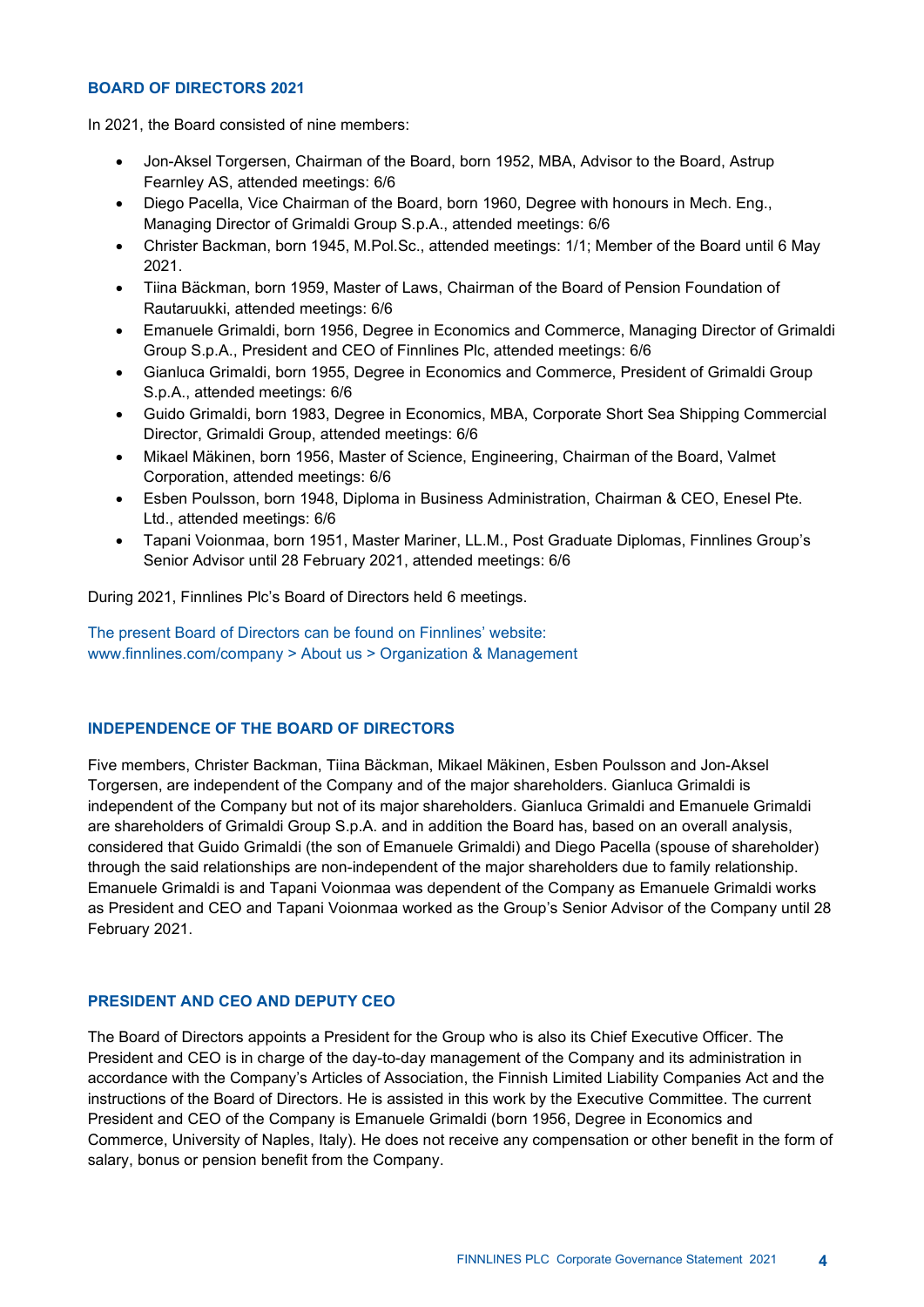#### **BOARD OF DIRECTORS 2021**

In 2021, the Board consisted of nine members:

- Jon-Aksel Torgersen, Chairman of the Board, born 1952, MBA, Advisor to the Board, Astrup Fearnley AS, attended meetings: 6/6
- Diego Pacella, Vice Chairman of the Board, born 1960, Degree with honours in Mech. Eng., Managing Director of Grimaldi Group S.p.A., attended meetings: 6/6
- Christer Backman, born 1945, M.Pol.Sc., attended meetings: 1/1; Member of the Board until 6 May 2021.
- Tiina Bäckman, born 1959, Master of Laws, Chairman of the Board of Pension Foundation of Rautaruukki, attended meetings: 6/6
- Emanuele Grimaldi, born 1956, Degree in Economics and Commerce, Managing Director of Grimaldi Group S.p.A., President and CEO of Finnlines Plc, attended meetings: 6/6
- Gianluca Grimaldi, born 1955, Degree in Economics and Commerce, President of Grimaldi Group S.p.A., attended meetings: 6/6
- Guido Grimaldi, born 1983, Degree in Economics, MBA, Corporate Short Sea Shipping Commercial Director, Grimaldi Group, attended meetings: 6/6
- Mikael Mäkinen, born 1956, Master of Science, Engineering, Chairman of the Board, Valmet Corporation, attended meetings: 6/6
- Esben Poulsson, born 1948, Diploma in Business Administration, Chairman & CEO, Enesel Pte. Ltd., attended meetings: 6/6
- Tapani Voionmaa, born 1951, Master Mariner, LL.M., Post Graduate Diplomas, Finnlines Group's Senior Advisor until 28 February 2021, attended meetings: 6/6

During 2021, Finnlines Plc's Board of Directors held 6 meetings.

The present Board of Directors can be found on Finnlines' website: www.finnlines.com/company > About us > Organization & Management

## **INDEPENDENCE OF THE BOARD OF DIRECTORS**

Five members, Christer Backman, Tiina Bäckman, Mikael Mäkinen, Esben Poulsson and Jon-Aksel Torgersen, are independent of the Company and of the major shareholders. Gianluca Grimaldi is independent of the Company but not of its major shareholders. Gianluca Grimaldi and Emanuele Grimaldi are shareholders of Grimaldi Group S.p.A. and in addition the Board has, based on an overall analysis, considered that Guido Grimaldi (the son of Emanuele Grimaldi) and Diego Pacella (spouse of shareholder) through the said relationships are non-independent of the major shareholders due to family relationship. Emanuele Grimaldi is and Tapani Voionmaa was dependent of the Company as Emanuele Grimaldi works as President and CEO and Tapani Voionmaa worked as the Group's Senior Advisor of the Company until 28 February 2021.

## **PRESIDENT AND CEO AND DEPUTY CEO**

The Board of Directors appoints a President for the Group who is also its Chief Executive Officer. The President and CEO is in charge of the day-to-day management of the Company and its administration in accordance with the Company's Articles of Association, the Finnish Limited Liability Companies Act and the instructions of the Board of Directors. He is assisted in this work by the Executive Committee. The current President and CEO of the Company is Emanuele Grimaldi (born 1956, Degree in Economics and Commerce, University of Naples, Italy). He does not receive any compensation or other benefit in the form of salary, bonus or pension benefit from the Company.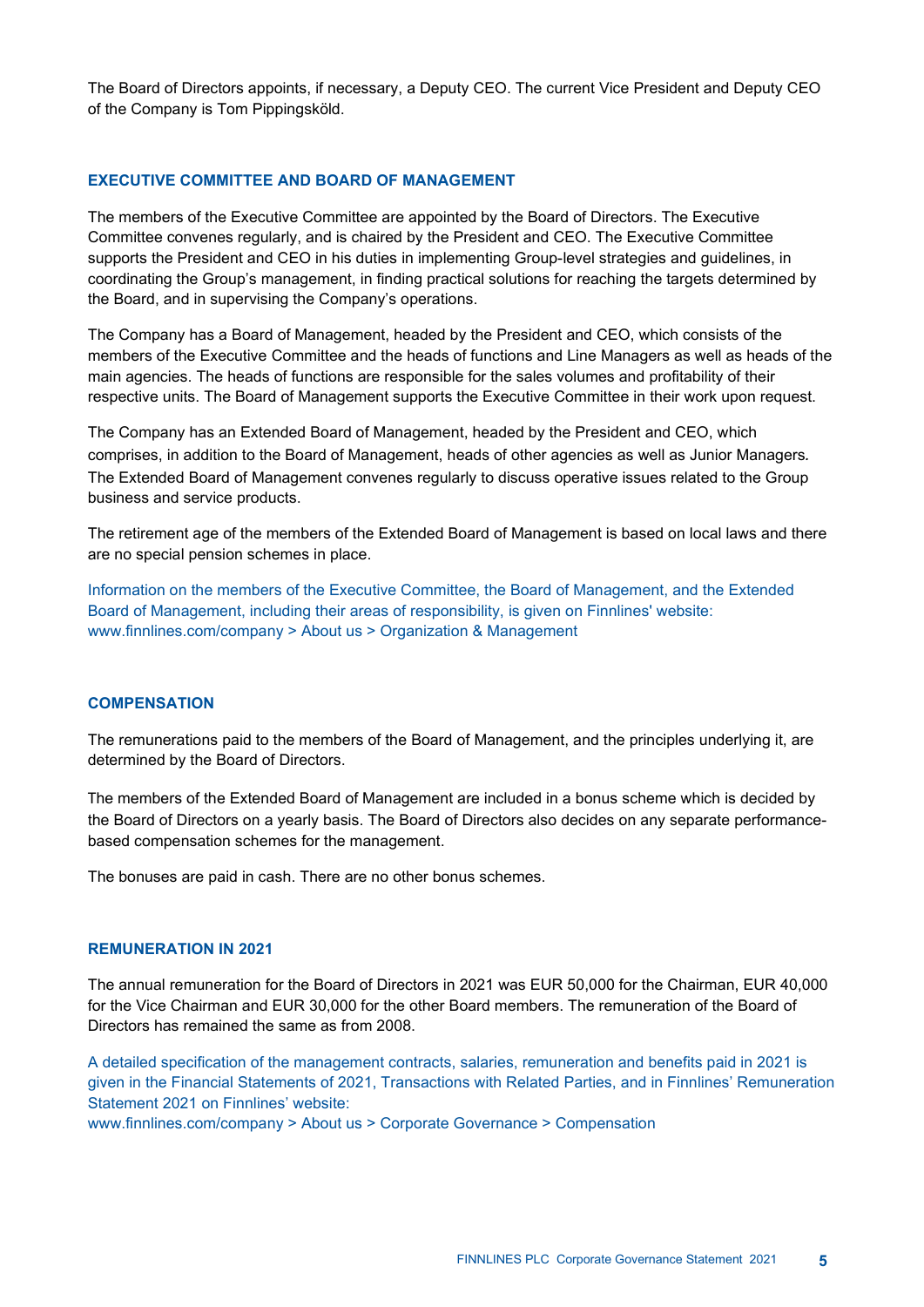The Board of Directors appoints, if necessary, a Deputy CEO. The current Vice President and Deputy CEO of the Company is Tom Pippingsköld.

#### **EXECUTIVE COMMITTEE AND BOARD OF MANAGEMENT**

The members of the Executive Committee are appointed by the Board of Directors. The Executive Committee convenes regularly, and is chaired by the President and CEO. The Executive Committee supports the President and CEO in his duties in implementing Group-level strategies and guidelines, in coordinating the Group's management, in finding practical solutions for reaching the targets determined by the Board, and in supervising the Company's operations.

The Company has a Board of Management, headed by the President and CEO, which consists of the members of the Executive Committee and the heads of functions and Line Managers as well as heads of the main agencies. The heads of functions are responsible for the sales volumes and profitability of their respective units. The Board of Management supports the Executive Committee in their work upon request.

The Company has an Extended Board of Management, headed by the President and CEO, which comprises, in addition to the Board of Management, heads of other agencies as well as Junior Managers*.*  The Extended Board of Management convenes regularly to discuss operative issues related to the Group business and service products.

The retirement age of the members of the Extended Board of Management is based on local laws and there are no special pension schemes in place.

Information on the members of the Executive Committee, the Board of Management, and the Extended Board of Management, including their areas of responsibility, is given on Finnlines' website: www.finnlines.com/company > About us > Organization & Management

#### **COMPENSATION**

The remunerations paid to the members of the Board of Management, and the principles underlying it, are determined by the Board of Directors.

The members of the Extended Board of Management are included in a bonus scheme which is decided by the Board of Directors on a yearly basis. The Board of Directors also decides on any separate performancebased compensation schemes for the management.

The bonuses are paid in cash. There are no other bonus schemes.

# **REMUNERATION IN 2021**

The annual remuneration for the Board of Directors in 2021 was EUR 50,000 for the Chairman, EUR 40,000 for the Vice Chairman and EUR 30,000 for the other Board members. The remuneration of the Board of Directors has remained the same as from 2008.

A detailed specification of the management contracts, salaries, remuneration and benefits paid in 2021 is given in the Financial Statements of 2021, Transactions with Related Parties, and in Finnlines' Remuneration Statement 2021 on Finnlines' website:

www.finnlines.com/company > About us > Corporate Governance > Compensation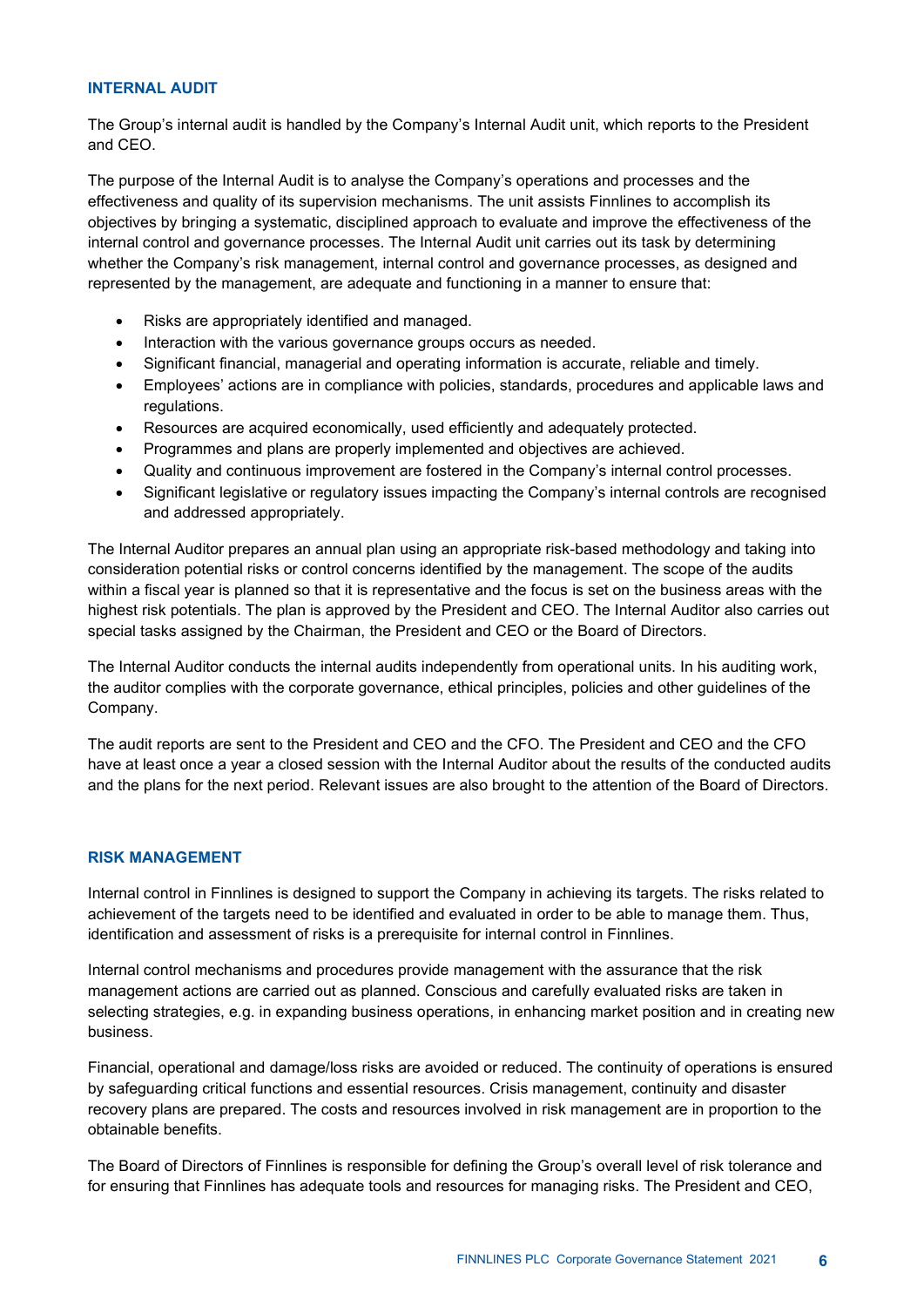#### **INTERNAL AUDIT**

The Group's internal audit is handled by the Company's Internal Audit unit, which reports to the President and CEO.

The purpose of the Internal Audit is to analyse the Company's operations and processes and the effectiveness and quality of its supervision mechanisms. The unit assists Finnlines to accomplish its objectives by bringing a systematic, disciplined approach to evaluate and improve the effectiveness of the internal control and governance processes. The Internal Audit unit carries out its task by determining whether the Company's risk management, internal control and governance processes, as designed and represented by the management, are adequate and functioning in a manner to ensure that:

- Risks are appropriately identified and managed.
- Interaction with the various governance groups occurs as needed.
- Significant financial, managerial and operating information is accurate, reliable and timely.
- Employees' actions are in compliance with policies, standards, procedures and applicable laws and regulations.
- Resources are acquired economically, used efficiently and adequately protected.
- Programmes and plans are properly implemented and objectives are achieved.
- Quality and continuous improvement are fostered in the Company's internal control processes.
- Significant legislative or regulatory issues impacting the Company's internal controls are recognised and addressed appropriately.

The Internal Auditor prepares an annual plan using an appropriate risk-based methodology and taking into consideration potential risks or control concerns identified by the management. The scope of the audits within a fiscal year is planned so that it is representative and the focus is set on the business areas with the highest risk potentials. The plan is approved by the President and CEO. The Internal Auditor also carries out special tasks assigned by the Chairman, the President and CEO or the Board of Directors.

The Internal Auditor conducts the internal audits independently from operational units. In his auditing work, the auditor complies with the corporate governance, ethical principles, policies and other guidelines of the Company.

The audit reports are sent to the President and CEO and the CFO. The President and CEO and the CFO have at least once a year a closed session with the Internal Auditor about the results of the conducted audits and the plans for the next period. Relevant issues are also brought to the attention of the Board of Directors.

# **RISK MANAGEMENT**

Internal control in Finnlines is designed to support the Company in achieving its targets. The risks related to achievement of the targets need to be identified and evaluated in order to be able to manage them. Thus, identification and assessment of risks is a prerequisite for internal control in Finnlines.

Internal control mechanisms and procedures provide management with the assurance that the risk management actions are carried out as planned. Conscious and carefully evaluated risks are taken in selecting strategies, e.g. in expanding business operations, in enhancing market position and in creating new business.

Financial, operational and damage/loss risks are avoided or reduced. The continuity of operations is ensured by safeguarding critical functions and essential resources. Crisis management, continuity and disaster recovery plans are prepared. The costs and resources involved in risk management are in proportion to the obtainable benefits.

The Board of Directors of Finnlines is responsible for defining the Group's overall level of risk tolerance and for ensuring that Finnlines has adequate tools and resources for managing risks. The President and CEO,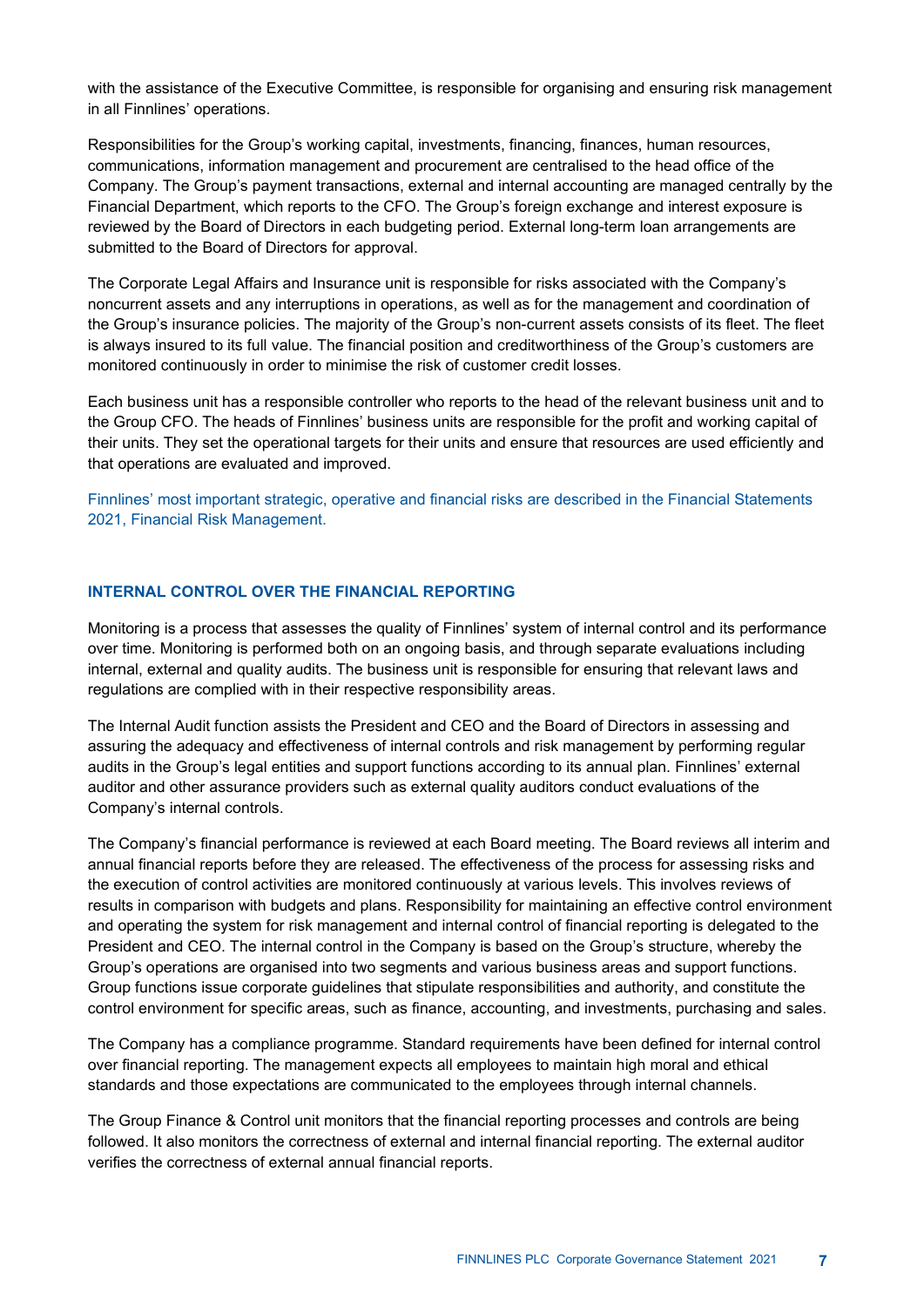with the assistance of the Executive Committee, is responsible for organising and ensuring risk management in all Finnlines' operations.

Responsibilities for the Group's working capital, investments, financing, finances, human resources, communications, information management and procurement are centralised to the head office of the Company. The Group's payment transactions, external and internal accounting are managed centrally by the Financial Department, which reports to the CFO. The Group's foreign exchange and interest exposure is reviewed by the Board of Directors in each budgeting period. External long-term loan arrangements are submitted to the Board of Directors for approval.

The Corporate Legal Affairs and Insurance unit is responsible for risks associated with the Company's noncurrent assets and any interruptions in operations, as well as for the management and coordination of the Group's insurance policies. The majority of the Group's non-current assets consists of its fleet. The fleet is always insured to its full value. The financial position and creditworthiness of the Group's customers are monitored continuously in order to minimise the risk of customer credit losses.

Each business unit has a responsible controller who reports to the head of the relevant business unit and to the Group CFO. The heads of Finnlines' business units are responsible for the profit and working capital of their units. They set the operational targets for their units and ensure that resources are used efficiently and that operations are evaluated and improved.

Finnlines' most important strategic, operative and financial risks are described in the Financial Statements 2021, Financial Risk Management.

# **INTERNAL CONTROL OVER THE FINANCIAL REPORTING**

Monitoring is a process that assesses the quality of Finnlines' system of internal control and its performance over time. Monitoring is performed both on an ongoing basis, and through separate evaluations including internal, external and quality audits. The business unit is responsible for ensuring that relevant laws and regulations are complied with in their respective responsibility areas.

The Internal Audit function assists the President and CEO and the Board of Directors in assessing and assuring the adequacy and effectiveness of internal controls and risk management by performing regular audits in the Group's legal entities and support functions according to its annual plan. Finnlines' external auditor and other assurance providers such as external quality auditors conduct evaluations of the Company's internal controls.

The Company's financial performance is reviewed at each Board meeting. The Board reviews all interim and annual financial reports before they are released. The effectiveness of the process for assessing risks and the execution of control activities are monitored continuously at various levels. This involves reviews of results in comparison with budgets and plans. Responsibility for maintaining an effective control environment and operating the system for risk management and internal control of financial reporting is delegated to the President and CEO. The internal control in the Company is based on the Group's structure, whereby the Group's operations are organised into two segments and various business areas and support functions. Group functions issue corporate guidelines that stipulate responsibilities and authority, and constitute the control environment for specific areas, such as finance, accounting, and investments, purchasing and sales.

The Company has a compliance programme. Standard requirements have been defined for internal control over financial reporting. The management expects all employees to maintain high moral and ethical standards and those expectations are communicated to the employees through internal channels.

The Group Finance & Control unit monitors that the financial reporting processes and controls are being followed. It also monitors the correctness of external and internal financial reporting. The external auditor verifies the correctness of external annual financial reports.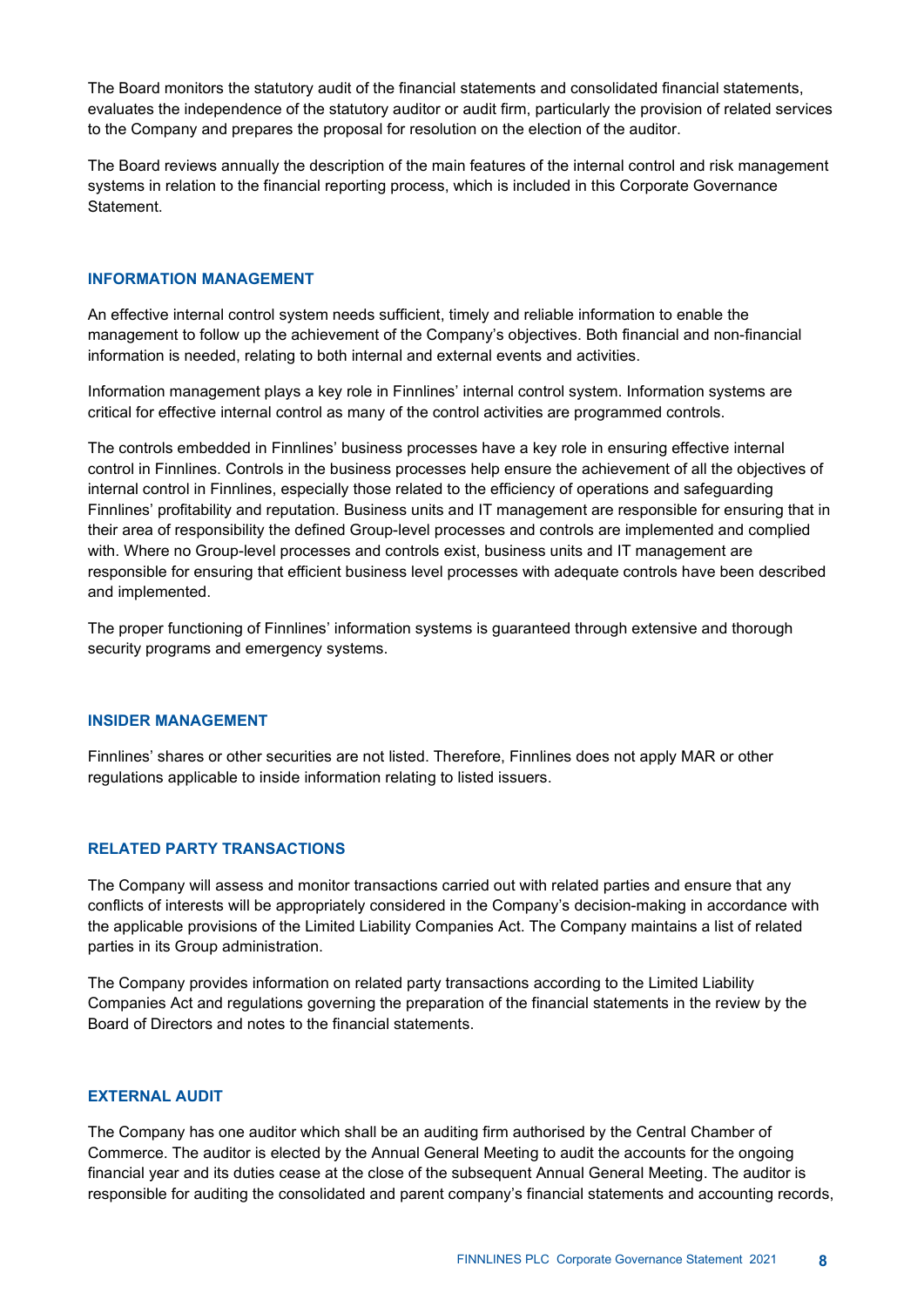The Board monitors the statutory audit of the financial statements and consolidated financial statements, evaluates the independence of the statutory auditor or audit firm, particularly the provision of related services to the Company and prepares the proposal for resolution on the election of the auditor.

The Board reviews annually the description of the main features of the internal control and risk management systems in relation to the financial reporting process, which is included in this Corporate Governance **Statement** 

#### **INFORMATION MANAGEMENT**

An effective internal control system needs sufficient, timely and reliable information to enable the management to follow up the achievement of the Company's objectives. Both financial and non-financial information is needed, relating to both internal and external events and activities.

Information management plays a key role in Finnlines' internal control system. Information systems are critical for effective internal control as many of the control activities are programmed controls.

The controls embedded in Finnlines' business processes have a key role in ensuring effective internal control in Finnlines. Controls in the business processes help ensure the achievement of all the objectives of internal control in Finnlines, especially those related to the efficiency of operations and safeguarding Finnlines' profitability and reputation. Business units and IT management are responsible for ensuring that in their area of responsibility the defined Group-level processes and controls are implemented and complied with. Where no Group-level processes and controls exist, business units and IT management are responsible for ensuring that efficient business level processes with adequate controls have been described and implemented.

The proper functioning of Finnlines' information systems is guaranteed through extensive and thorough security programs and emergency systems.

#### **INSIDER MANAGEMENT**

Finnlines' shares or other securities are not listed. Therefore, Finnlines does not apply MAR or other regulations applicable to inside information relating to listed issuers.

#### **RELATED PARTY TRANSACTIONS**

The Company will assess and monitor transactions carried out with related parties and ensure that any conflicts of interests will be appropriately considered in the Company's decision-making in accordance with the applicable provisions of the Limited Liability Companies Act. The Company maintains a list of related parties in its Group administration.

The Company provides information on related party transactions according to the Limited Liability Companies Act and regulations governing the preparation of the financial statements in the review by the Board of Directors and notes to the financial statements.

#### **EXTERNAL AUDIT**

The Company has one auditor which shall be an auditing firm authorised by the Central Chamber of Commerce. The auditor is elected by the Annual General Meeting to audit the accounts for the ongoing financial year and its duties cease at the close of the subsequent Annual General Meeting. The auditor is responsible for auditing the consolidated and parent company's financial statements and accounting records,